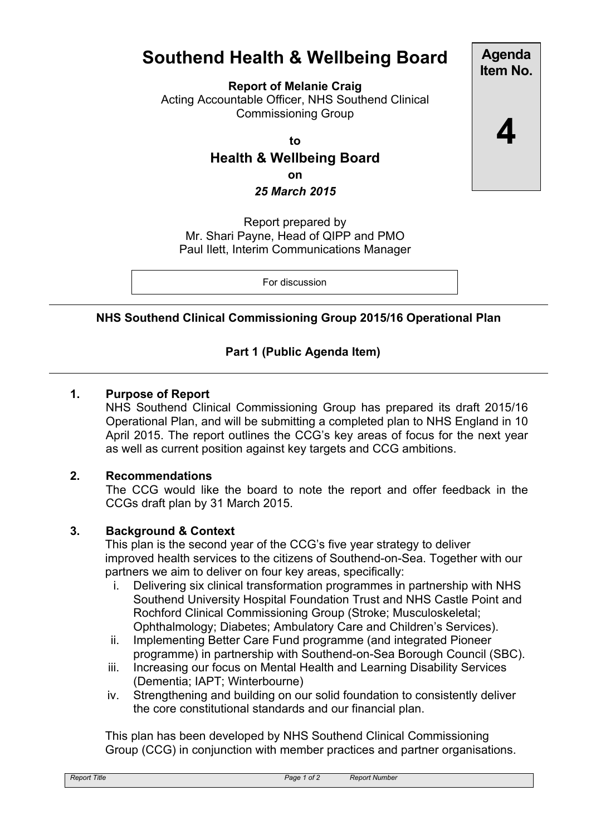# **Southend Health & Wellbeing Board**

**Report of Melanie Craig**

Acting Accountable Officer, NHS Southend Clinical Commissioning Group

**to**

**Health & Wellbeing Board on** *25 March 2015*

Report prepared by Mr. Shari Payne, Head of QIPP and PMO Paul Ilett, Interim Communications Manager

For discussion

# **NHS Southend Clinical Commissioning Group 2015/16 Operational Plan**

# **Part 1 (Public Agenda Item)**

# **1. Purpose of Report**

NHS Southend Clinical Commissioning Group has prepared its draft 2015/16 Operational Plan, and will be submitting a completed plan to NHS England in 10 April 2015. The report outlines the CCG's key areas of focus for the next year as well as current position against key targets and CCG ambitions.

## **2. Recommendations**

The CCG would like the board to note the report and offer feedback in the CCGs draft plan by 31 March 2015.

## **3. Background & Context**

This plan is the second year of the CCG's five year strategy to deliver improved health services to the citizens of Southend-on-Sea. Together with our partners we aim to deliver on four key areas, specifically:

- i. Delivering six clinical transformation programmes in partnership with NHS Southend University Hospital Foundation Trust and NHS Castle Point and Rochford Clinical Commissioning Group (Stroke; Musculoskeletal; Ophthalmology; Diabetes; Ambulatory Care and Children's Services).
- ii. Implementing Better Care Fund programme (and integrated Pioneer programme) in partnership with Southend-on-Sea Borough Council (SBC).
- iii. Increasing our focus on Mental Health and Learning Disability Services (Dementia; IAPT; Winterbourne)
- iv. Strengthening and building on our solid foundation to consistently deliver the core constitutional standards and our financial plan.

This plan has been developed by NHS Southend Clinical Commissioning Group (CCG) in conjunction with member practices and partner organisations.

**Agenda Item No.**